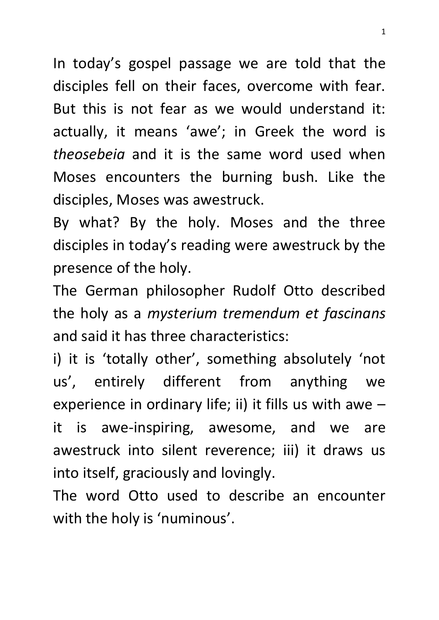In today's gospel passage we are told that the disciples fell on their faces, overcome with fear. But this is not fear as we would understand it: actually, it means 'awe'; in Greek the word is *theosebeia* and it is the same word used when Moses encounters the burning bush. Like the disciples, Moses was awestruck.

By what? By the holy. Moses and the three disciples in today's reading were awestruck by the presence of the holy.

The German philosopher Rudolf Otto described the holy as a *mysterium tremendum et fascinans* and said it has three characteristics:

i) it is 'totally other', something absolutely 'not us', entirely different from anything we experience in ordinary life; ii) it fills us with awe  $$ it is awe-inspiring, awesome, and we are awestruck into silent reverence; iii) it draws us into itself, graciously and lovingly.

The word Otto used to describe an encounter with the holy is 'numinous'.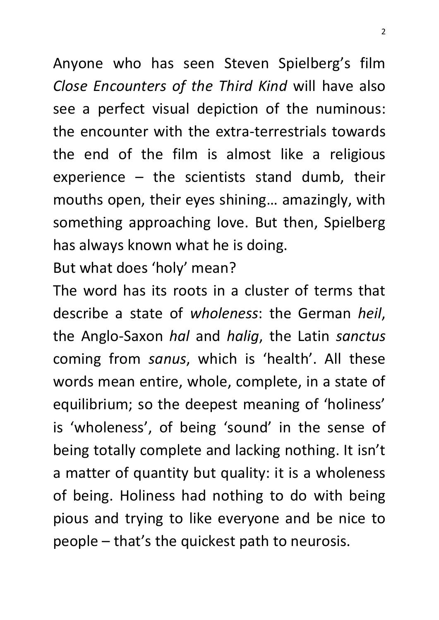Anyone who has seen Steven Spielberg's film *Close Encounters of the Third Kind* will have also see a perfect visual depiction of the numinous: the encounter with the extra-terrestrials towards the end of the film is almost like a religious experience  $-$  the scientists stand dumb, their mouths open, their eyes shining… amazingly, with something approaching love. But then, Spielberg has always known what he is doing.

But what does 'holy' mean?

The word has its roots in a cluster of terms that describe a state of *wholeness*: the German *heil*, the Anglo-Saxon *hal* and *halig*, the Latin *sanctus* coming from *sanus*, which is 'health'. All these words mean entire, whole, complete, in a state of equilibrium; so the deepest meaning of 'holiness' is 'wholeness', of being 'sound' in the sense of being totally complete and lacking nothing. It isn't a matter of quantity but quality: it is a wholeness of being. Holiness had nothing to do with being pious and trying to like everyone and be nice to people – that's the quickest path to neurosis.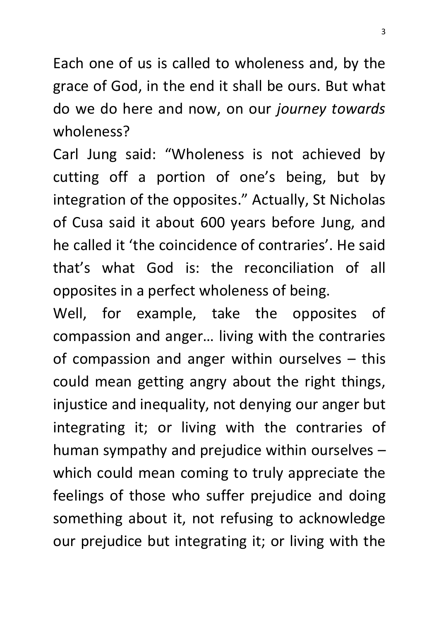Each one of us is called to wholeness and, by the grace of God, in the end it shall be ours. But what do we do here and now, on our *journey towards*  wholeness?

Carl Jung said: "Wholeness is not achieved by cutting off a portion of one's being, but by integration of the opposites." Actually, St Nicholas of Cusa said it about 600 years before Jung, and he called it 'the coincidence of contraries'. He said that's what God is: the reconciliation of all opposites in a perfect wholeness of being.

Well, for example, take the opposites of compassion and anger… living with the contraries of compassion and anger within ourselves – this could mean getting angry about the right things, injustice and inequality, not denying our anger but integrating it; or living with the contraries of human sympathy and prejudice within ourselves – which could mean coming to truly appreciate the feelings of those who suffer prejudice and doing something about it, not refusing to acknowledge our prejudice but integrating it; or living with the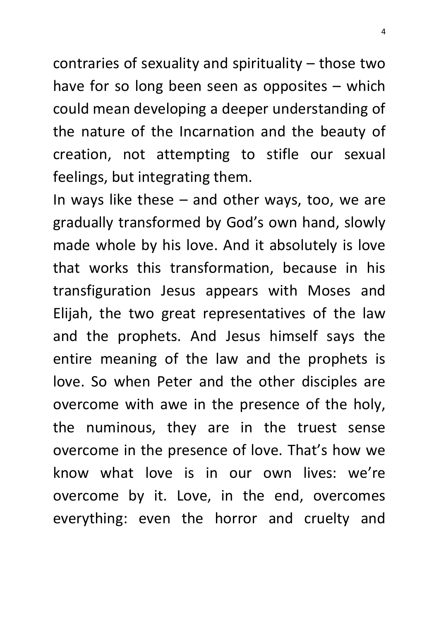contraries of sexuality and spirituality – those two have for so long been seen as opposites – which could mean developing a deeper understanding of the nature of the Incarnation and the beauty of creation, not attempting to stifle our sexual feelings, but integrating them.

In ways like these – and other ways, too, we are gradually transformed by God's own hand, slowly made whole by his love. And it absolutely is love that works this transformation, because in his transfiguration Jesus appears with Moses and Elijah, the two great representatives of the law and the prophets. And Jesus himself says the entire meaning of the law and the prophets is love. So when Peter and the other disciples are overcome with awe in the presence of the holy, the numinous, they are in the truest sense overcome in the presence of love. That's how we know what love is in our own lives: we're overcome by it. Love, in the end, overcomes everything: even the horror and cruelty and